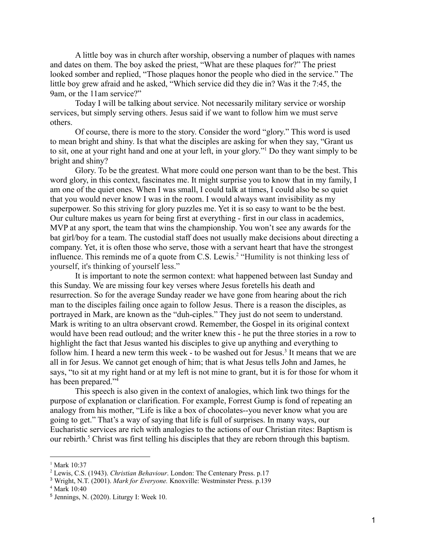A little boy was in church after worship, observing a number of plaques with names and dates on them. The boy asked the priest, "What are these plaques for?" The priest looked somber and replied, "Those plaques honor the people who died in the service." The little boy grew afraid and he asked, "Which service did they die in? Was it the 7:45, the 9am, or the 11am service?"

Today I will be talking about service. Not necessarily military service or worship services, but simply serving others. Jesus said if we want to follow him we must serve others.

Of course, there is more to the story. Consider the word "glory." This word is used to mean bright and shiny. Is that what the disciples are asking for when they say, "Grant us to sit, one at your right hand and one at your left, in your glory."<sup>1</sup> Do they want simply to be bright and shiny?

Glory. To be the greatest. What more could one person want than to be the best. This word glory, in this context, fascinates me. It might surprise you to know that in my family, I am one of the quiet ones. When I was small, I could talk at times, I could also be so quiet that you would never know I was in the room. I would always want invisibility as my superpower. So this striving for glory puzzles me. Yet it is so easy to want to be the best. Our culture makes us yearn for being first at everything - first in our class in academics, MVP at any sport, the team that wins the championship. You won't see any awards for the bat girl/boy for a team. The custodial staff does not usually make decisions about directing a company. Yet, it is often those who serve, those with a servant heart that have the strongest influence. This reminds me of a quote from C.S. Lewis.<sup>2</sup> "Humility is not thinking less of yourself, it's thinking of yourself less."

It is important to note the sermon context: what happened between last Sunday and this Sunday. We are missing four key verses where Jesus foretells his death and resurrection. So for the average Sunday reader we have gone from hearing about the rich man to the disciples failing once again to follow Jesus. There is a reason the disciples, as portrayed in Mark, are known as the "duh-ciples." They just do not seem to understand. Mark is writing to an ultra observant crowd. Remember, the Gospel in its original context would have been read outloud; and the writer knew this - he put the three stories in a row to highlight the fact that Jesus wanted his disciples to give up anything and everything to follow him. I heard a new term this week - to be washed out for Jesus.<sup>3</sup> It means that we are all in for Jesus. We cannot get enough of him; that is what Jesus tells John and James, he says, "to sit at my right hand or at my left is not mine to grant, but it is for those for whom it has been prepared."<sup>4</sup>

This speech is also given in the context of analogies, which link two things for the purpose of explanation or clarification. For example, Forrest Gump is fond of repeating an analogy from his mother, "Life is like a box of chocolates--you never know what you are going to get." That's a way of saying that life is full of surprises. In many ways, our Eucharistic services are rich with analogies to the actions of our Christian rites: Baptism is our rebirth.<sup>5</sup> Christ was first telling his disciples that they are reborn through this baptism.

<sup>&</sup>lt;sup>1</sup> Mark 10:37

<sup>2</sup> Lewis, C.S. (1943). *Christian Behaviour*. London: The Centenary Press. p.17

<sup>3</sup> Wright, N.T. (2001). *Mark for Everyone.* Knoxville: Westminster Press. p.139

<sup>4</sup> Mark 10:40

<sup>5</sup> Jennings, N. (2020). Liturgy I: Week 10.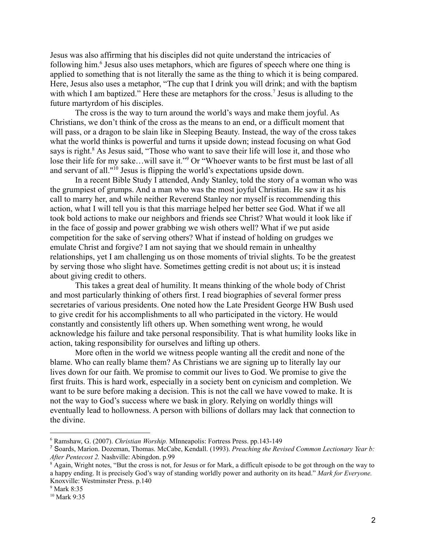Jesus was also affirming that his disciples did not quite understand the intricacies of following him.<sup>6</sup> Jesus also uses metaphors, which are figures of speech where one thing is applied to something that is not literally the same as the thing to which it is being compared. Here, Jesus also uses a metaphor, "The cup that I drink you will drink; and with the baptism with which I am baptized." Here these are metaphors for the cross.<sup>7</sup> Jesus is alluding to the future martyrdom of his disciples.

The cross is the way to turn around the world's ways and make them joyful. As Christians, we don't think of the cross as the means to an end, or a difficult moment that will pass, or a dragon to be slain like in Sleeping Beauty. Instead, the way of the cross takes what the world thinks is powerful and turns it upside down; instead focusing on what God says is right.<sup>8</sup> As Jesus said, "Those who want to save their life will lose it, and those who lose their life for my sake...will save it."<sup>9</sup> Or "Whoever wants to be first must be last of all and servant of all."<sup>10</sup> Jesus is flipping the world's expectations upside down.

In a recent Bible Study I attended, Andy Stanley, told the story of a woman who was the grumpiest of grumps. And a man who was the most joyful Christian. He saw it as his call to marry her, and while neither Reverend Stanley nor myself is recommending this action, what I will tell you is that this marriage helped her better see God. What if we all took bold actions to make our neighbors and friends see Christ? What would it look like if in the face of gossip and power grabbing we wish others well? What if we put aside competition for the sake of serving others? What if instead of holding on grudges we emulate Christ and forgive? I am not saying that we should remain in unhealthy relationships, yet I am challenging us on those moments of trivial slights. To be the greatest by serving those who slight have. Sometimes getting credit is not about us; it is instead about giving credit to others.

This takes a great deal of humility. It means thinking of the whole body of Christ and most particularly thinking of others first. I read biographies of several former press secretaries of various presidents. One noted how the Late President George HW Bush used to give credit for his accomplishments to all who participated in the victory. He would constantly and consistently lift others up. When something went wrong, he would acknowledge his failure and take personal responsibility. That is what humility looks like in action, taking responsibility for ourselves and lifting up others.

More often in the world we witness people wanting all the credit and none of the blame. Who can really blame them? As Christians we are signing up to literally lay our lives down for our faith. We promise to commit our lives to God. We promise to give the first fruits. This is hard work, especially in a society bent on cynicism and completion. We want to be sure before making a decision. This is not the call we have vowed to make. It is not the way to God's success where we bask in glory. Relying on worldly things will eventually lead to hollowness. A person with billions of dollars may lack that connection to the divine.

<sup>6</sup> Ramshaw, G. (2007). *Christian Worship.* MInneapolis: Fortress Press. pp.143-149

<sup>7</sup> Soards, Marion. Dozeman, Thomas. McCabe, Kendall. (1993). *Preaching the Revised Common Lectionary Year b: After Pentecost 2.* Nashville: Abingdon. p.99

<sup>&</sup>lt;sup>8</sup> Again, Wright notes, "But the cross is not, for Jesus or for Mark, a difficult episode to be got through on the way to a happy ending. It is precisely God's way of standing worldly power and authority on its head." *Mark for Everyone.* Knoxville: Westminster Press. p.140

<sup>&</sup>lt;sup>9</sup> Mark 8:35

<sup>10</sup> Mark 9:35